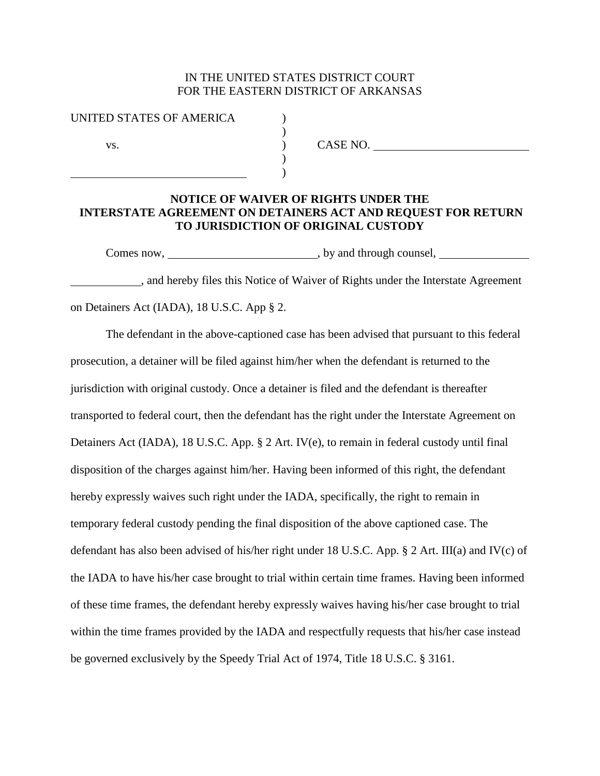## IN THE UNITED STATES DISTRICT COURT FOR THE EASTERN DISTRICT OF ARKANSAS

) )

| UNITED STATES OF AMERICA |  |
|--------------------------|--|
|                          |  |
| VS.                      |  |
|                          |  |
|                          |  |

) CASE NO.

## **NOTICE OF WAIVER OF RIGHTS UNDER THE INTERSTATE AGREEMENT ON DETAINERS ACT AND REQUEST FOR RETURN TO JURISDICTION OF ORIGINAL CUSTODY**

Comes now, \_\_\_\_\_\_\_\_\_\_\_\_\_\_\_\_\_\_\_\_\_\_\_\_\_\_\_\_\_\_\_\_, by and through counsel, \_\_\_\_\_\_\_\_\_\_\_\_

, and hereby files this Notice of Waiver of Rights under the Interstate Agreement on Detainers Act (IADA), 18 U.S.C. App § 2.

The defendant in the above-captioned case has been advised that pursuant to this federal prosecution, a detainer will be filed against him/her when the defendant is returned to the jurisdiction with original custody. Once a detainer is filed and the defendant is thereafter transported to federal court, then the defendant has the right under the Interstate Agreement on Detainers Act (IADA), 18 U.S.C. App. § 2 Art. IV(e), to remain in federal custody until final disposition of the charges against him/her. Having been informed of this right, the defendant hereby expressly waives such right under the IADA, specifically, the right to remain in temporary federal custody pending the final disposition of the above captioned case. The defendant has also been advised of his/her right under 18 U.S.C. App. § 2 Art. III(a) and IV(c) of the IADA to have his/her case brought to trial within certain time frames. Having been informed of these time frames, the defendant hereby expressly waives having his/her case brought to trial within the time frames provided by the IADA and respectfully requests that his/her case instead be governed exclusively by the Speedy Trial Act of 1974, Title 18 U.S.C. § 3161.